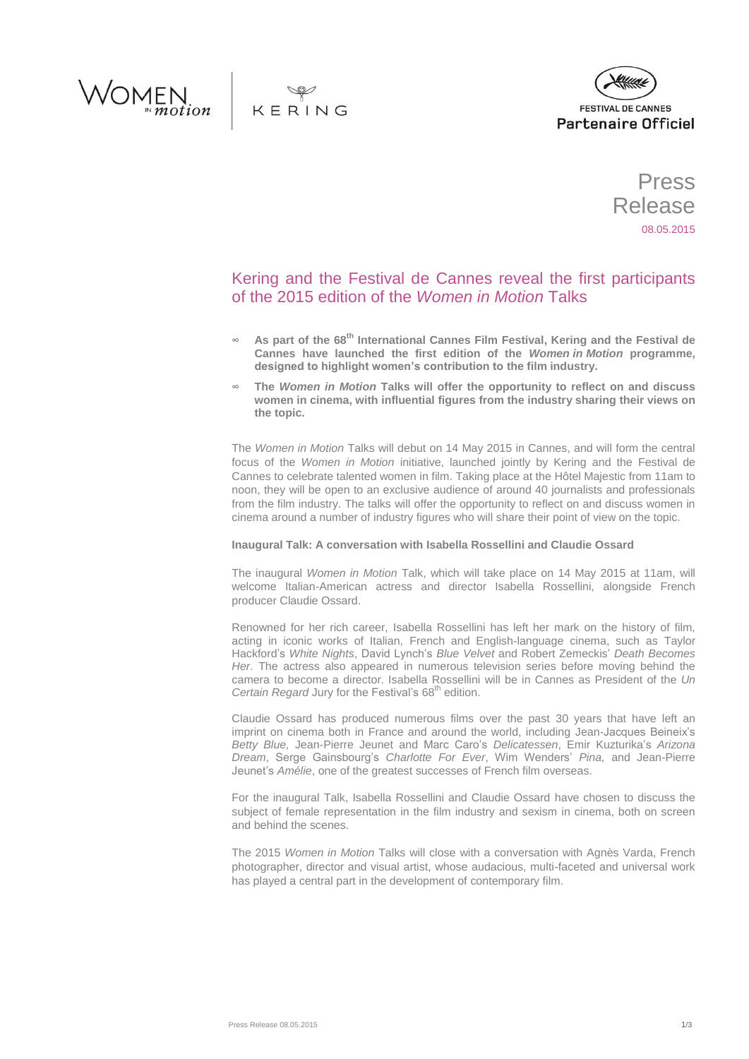





Press Release 08.05.2015

# Kering and the Festival de Cannes reveal the first participants of the 2015 edition of the *Women in Motion* Talks

- **∞ As part of the 68th International Cannes Film Festival, Kering and the Festival de Cannes have launched the first edition of the** *Women in Motion* **programme, designed to highlight women's contribution to the film industry.**
- **∞ The** *Women in Motion* **Talks will offer the opportunity to reflect on and discuss women in cinema, with influential figures from the industry sharing their views on the topic.**

The *Women in Motion* Talks will debut on 14 May 2015 in Cannes, and will form the central focus of the *Women in Motion* initiative, launched jointly by Kering and the Festival de Cannes to celebrate talented women in film. Taking place at the Hôtel Majestic from 11am to noon, they will be open to an exclusive audience of around 40 journalists and professionals from the film industry. The talks will offer the opportunity to reflect on and discuss women in cinema around a number of industry figures who will share their point of view on the topic.

# **Inaugural Talk: A conversation with Isabella Rossellini and Claudie Ossard**

The inaugural *Women in Motion* Talk, which will take place on 14 May 2015 at 11am, will welcome Italian-American actress and director Isabella Rossellini, alongside French producer Claudie Ossard.

Renowned for her rich career, Isabella Rossellini has left her mark on the history of film, acting in iconic works of Italian, French and English-language cinema, such as Taylor Hackford's *White Nights*, David Lynch's *Blue Velvet* and Robert Zemeckis' *Death Becomes Her*. The actress also appeared in numerous television series before moving behind the camera to become a director. Isabella Rossellini will be in Cannes as President of the *Un Certain Regard* Jury for the Festival's 68<sup>th</sup> edition.

Claudie Ossard has produced numerous films over the past 30 years that have left an imprint on cinema both in France and around the world, including Jean-Jacques Beineix's *Betty Blue,* Jean-Pierre Jeunet and Marc Caro's *Delicatessen*, Emir Kuzturika's *Arizona Dream*, Serge Gainsbourg's *Charlotte For Ever*, Wim Wenders' *Pina,* and Jean-Pierre Jeunet's *Amélie*, one of the greatest successes of French film overseas.

For the inaugural Talk, Isabella Rossellini and Claudie Ossard have chosen to discuss the subject of female representation in the film industry and sexism in cinema, both on screen and behind the scenes.

The 2015 *Women in Motion* Talks will close with a conversation with Agnès Varda, French photographer, director and visual artist, whose audacious, multi-faceted and universal work has played a central part in the development of contemporary film.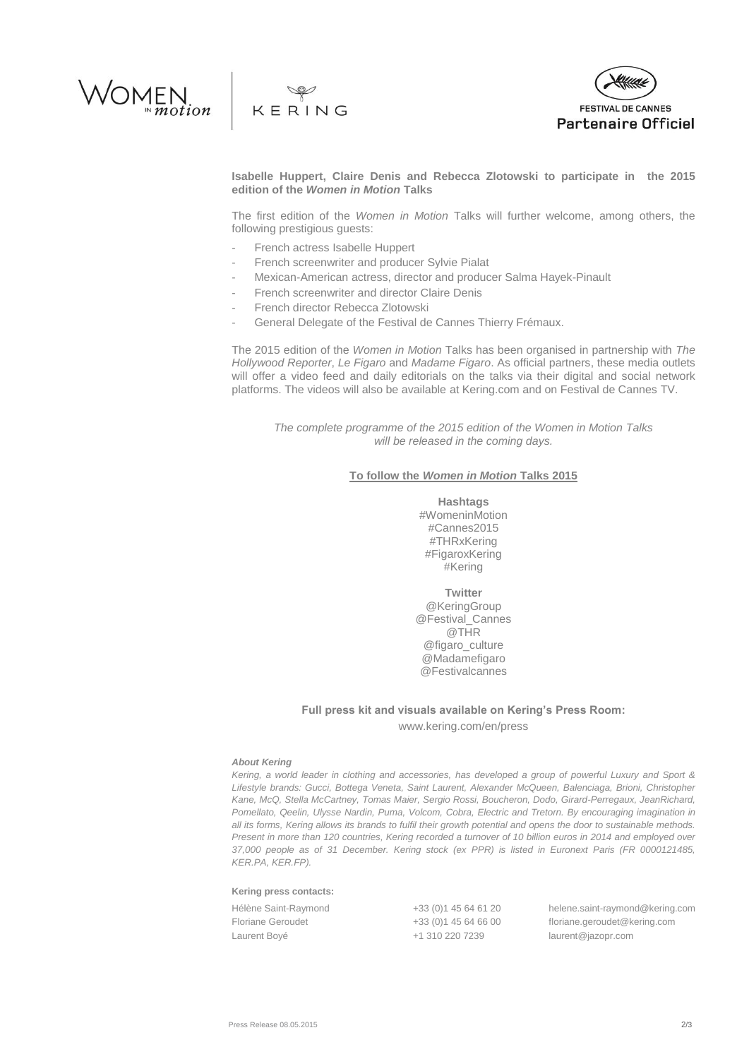





**Isabelle Huppert, Claire Denis and Rebecca Zlotowski to participate in the 2015 edition of the** *Women in Motion* **Talks**

The first edition of the *Women in Motion* Talks will further welcome, among others, the following prestigious guests:

- French actress Isabelle Huppert
- French screenwriter and producer Sylvie Pialat
- Mexican-American actress, director and producer Salma Hayek-Pinault
- French screenwriter and director Claire Denis
- French director Rebecca Zlotowski
- General Delegate of the Festival de Cannes Thierry Frémaux.

The 2015 edition of the *Women in Motion* Talks has been organised in partnership with *The Hollywood Reporter*, *Le Figaro* and *Madame Figaro*. As official partners, these media outlets will offer a video feed and daily editorials on the talks via their digital and social network platforms. The videos will also be available at Kering.com and on Festival de Cannes TV.

*The complete programme of the 2015 edition of the Women in Motion Talks will be released in the coming days.*

## **To follow the** *Women in Motion* **Talks 2015**

**Hashtags** #WomeninMotion #Cannes2015 #THRxKering #FigaroxKering #Kering

**Twitter** @KeringGroup @Festival\_Cannes @THR @figaro\_culture @Madamefigaro @Festivalcannes

# **Full press kit and visuals available on Kering's Press Room:** www.kering.com/en/press

### *About Kering*

*Kering, a world leader in clothing and accessories, has developed a group of powerful Luxury and Sport & Lifestyle brands: Gucci, Bottega Veneta, Saint Laurent, Alexander McQueen, Balenciaga, Brioni, Christopher Kane, McQ, Stella McCartney, Tomas Maier, Sergio Rossi, Boucheron, Dodo, Girard-Perregaux, JeanRichard, Pomellato, Qeelin, Ulysse Nardin, Puma, Volcom, Cobra, Electric and Tretorn. By encouraging imagination in all its forms, Kering allows its brands to fulfil their growth potential and opens the door to sustainable methods. Present in more than 120 countries, Kering recorded a turnover of 10 billion euros in 2014 and employed over 37,000 people as of 31 December. Kering stock (ex PPR) is listed in Euronext Paris (FR 0000121485, KER.PA, KER.FP).*

#### **Kering press contacts:**

| Hélène Saint-Raymond | +33 (0) 1 45 64 61 20 | helene.saint-raymond@kering.com |
|----------------------|-----------------------|---------------------------------|
| Floriane Geroudet    | +33 (0) 145 64 66 00  | floriane.geroudet@kering.com    |
| Laurent Boyé         | +1 310 220 7239       | laurent@jazopr.com              |